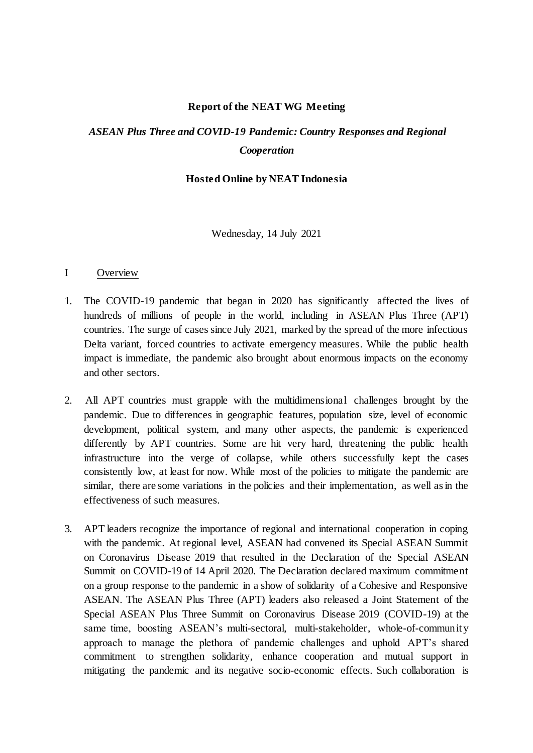### **Report of the NEAT WG Meeting**

# *ASEAN Plus Three and COVID-19 Pandemic: Country Responses and Regional Cooperation*

### **Hosted Online by NEAT Indonesia**

Wednesday, 14 July 2021

### I Overview

- 1. The COVID-19 pandemic that began in 2020 has significantly affected the lives of hundreds of millions of people in the world, including in ASEAN Plus Three (APT) countries. The surge of cases since July 2021, marked by the spread of the more infectious Delta variant, forced countries to activate emergency measures. While the public health impact is immediate, the pandemic also brought about enormous impacts on the economy and other sectors.
- 2. All APT countries must grapple with the multidimensional challenges brought by the pandemic. Due to differences in geographic features, population size, level of economic development, political system, and many other aspects, the pandemic is experienced differently by APT countries. Some are hit very hard, threatening the public health infrastructure into the verge of collapse, while others successfully kept the cases consistently low, at least for now. While most of the policies to mitigate the pandemic are similar, there are some variations in the policies and their implementation, as well as in the effectiveness of such measures.
- 3. APT leaders recognize the importance of regional and international cooperation in coping with the pandemic. At regional level, ASEAN had convened its Special ASEAN Summit on Coronavirus Disease 2019 that resulted in the Declaration of the Special ASEAN Summit on COVID-19 of 14 April 2020. The Declaration declared maximum commitment on a group response to the pandemic in a show of solidarity of a Cohesive and Responsive ASEAN. The ASEAN Plus Three (APT) leaders also released a Joint Statement of the Special ASEAN Plus Three Summit on Coronavirus Disease 2019 (COVID-19) at the same time, boosting ASEAN's multi-sectoral, multi-stakeholder, whole-of-community approach to manage the plethora of pandemic challenges and uphold APT's shared commitment to strengthen solidarity, enhance cooperation and mutual support in mitigating the pandemic and its negative socio-economic effects. Such collaboration is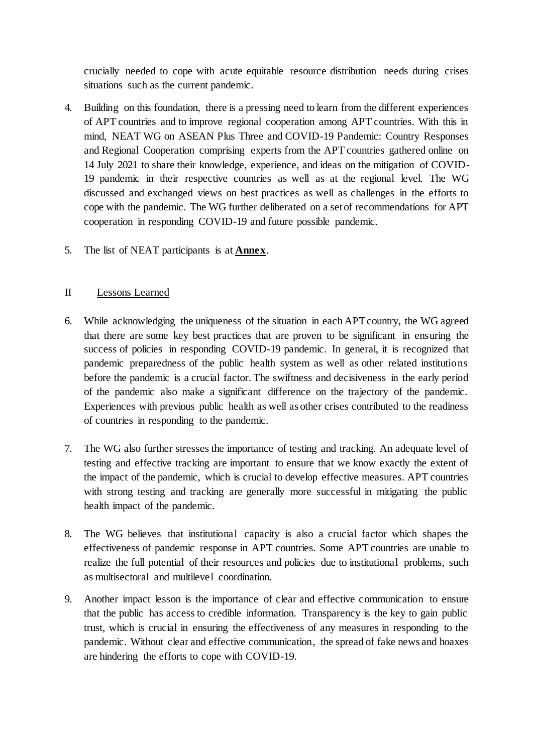crucially needed to cope with acute equitable resource distribution needs during crises situations such as the current pandemic.

- 4. Building on this foundation, there is a pressing need to learn from the different experiences of APT countries and to improve regional cooperation among APT countries. With this in mind, NEAT WG on ASEAN Plus Three and COVID-19 Pandemic: Country Responses and Regional Cooperation comprising experts from the APT countries gathered online on 14 July 2021 to share their knowledge, experience, and ideas on the mitigation of COVID-19 pandemic in their respective countries as well as at the regional level. The WG discussed and exchanged views on best practices as well as challenges in the efforts to cope with the pandemic. The WG further deliberated on a set of recommendations for APT cooperation in responding COVID-19 and future possible pandemic.
- 5. The list of NEAT participants is at **Annex**.

### II Lessons Learned

- 6. While acknowledging the uniqueness of the situation in each APT country, the WG agreed that there are some key best practices that are proven to be significant in ensuring the success of policies in responding COVID-19 pandemic. In general, it is recognized that pandemic preparedness of the public health system as well as other related institutions before the pandemic is a crucial factor. The swiftness and decisiveness in the early period of the pandemic also make a significant difference on the trajectory of the pandemic. Experiences with previous public health as well as other crises contributed to the readiness of countries in responding to the pandemic.
- 7. The WG also further stresses the importance of testing and tracking. An adequate level of testing and effective tracking are important to ensure that we know exactly the extent of the impact of the pandemic, which is crucial to develop effective measures. APT countries with strong testing and tracking are generally more successful in mitigating the public health impact of the pandemic.
- 8. The WG believes that institutional capacity is also a crucial factor which shapes the effectiveness of pandemic response in APT countries. Some APT countries are unable to realize the full potential of their resources and policies due to institutional problems, such as multisectoral and multilevel coordination.
- 9. Another impact lesson is the importance of clear and effective communication to ensure that the public has access to credible information. Transparency is the key to gain public trust, which is crucial in ensuring the effectiveness of any measures in responding to the pandemic. Without clear and effective communication, the spread of fake news and hoaxes are hindering the efforts to cope with COVID-19.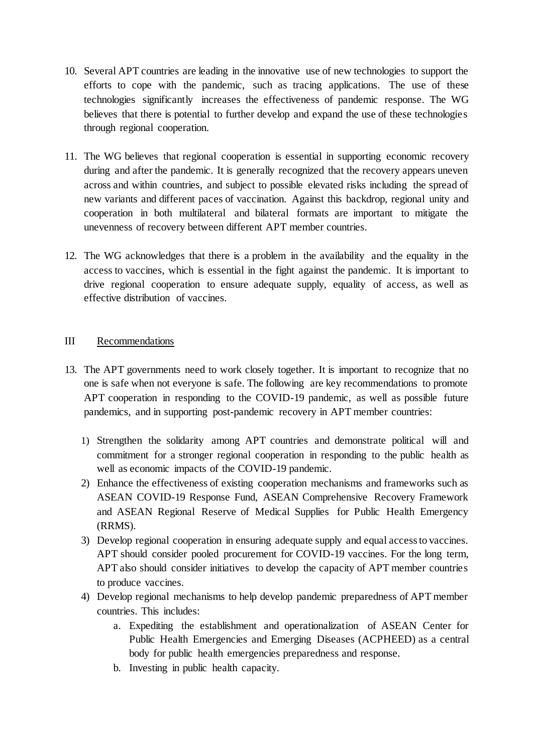- 10. Several APT countries are leading in the innovative use of new technologies to support the efforts to cope with the pandemic, such as tracing applications. The use of these technologies significantly increases the effectiveness of pandemic response. The WG believes that there is potential to further develop and expand the use of these technologies through regional cooperation.
- 11. The WG believes that regional cooperation is essential in supporting economic recovery during and after the pandemic. It is generally recognized that the recovery appears uneven across and within countries, and subject to possible elevated risks including the spread of new variants and different paces of vaccination. Against this backdrop, regional unity and cooperation in both multilateral and bilateral formats are important to mitigate the unevenness of recovery between different APT member countries.
- 12. The WG acknowledges that there is a problem in the availability and the equality in the access to vaccines, which is essential in the fight against the pandemic. It is important to drive regional cooperation to ensure adequate supply, equality of access, as well as effective distribution of vaccines.

### III Recommendations

- 13. The APT governments need to work closely together. It is important to recognize that no one is safe when not everyone is safe. The following are key recommendations to promote APT cooperation in responding to the COVID-19 pandemic, as well as possible future pandemics, and in supporting post-pandemic recovery in APT member countries:
	- 1) Strengthen the solidarity among APT countries and demonstrate political will and commitment for a stronger regional cooperation in responding to the public health as well as economic impacts of the COVID-19 pandemic.
	- 2) Enhance the effectiveness of existing cooperation mechanisms and frameworks such as ASEAN COVID-19 Response Fund, ASEAN Comprehensive Recovery Framework and ASEAN Regional Reserve of Medical Supplies for Public Health Emergency (RRMS).
	- 3) Develop regional cooperation in ensuring adequate supply and equal access to vaccines. APT should consider pooled procurement for COVID-19 vaccines. For the long term, APT also should consider initiatives to develop the capacity of APT member countries to produce vaccines.
	- 4) Develop regional mechanisms to help develop pandemic preparedness of APT member countries. This includes:
		- a. Expediting the establishment and operationalization of ASEAN Center for Public Health Emergencies and Emerging Diseases (ACPHEED) as a central body for public health emergencies preparedness and response.
		- b. Investing in public health capacity.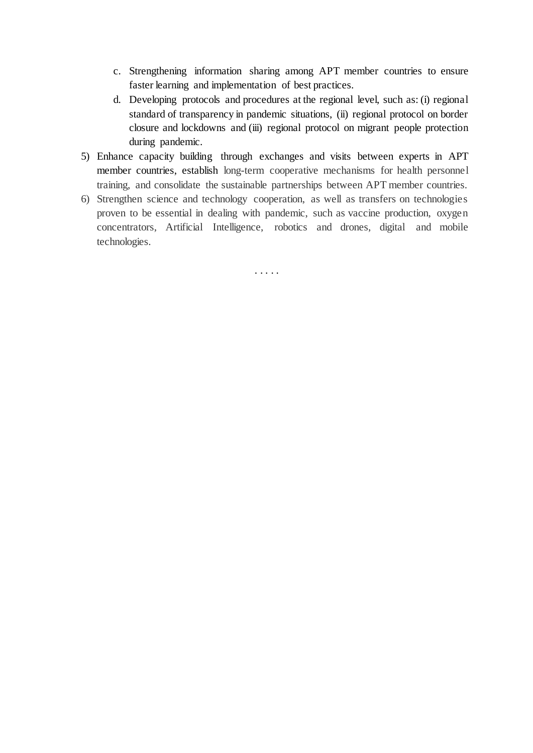- c. Strengthening information sharing among APT member countries to ensure faster learning and implementation of best practices.
- d. Developing protocols and procedures at the regional level, such as: (i) regional standard of transparency in pandemic situations, (ii) regional protocol on border closure and lockdowns and (iii) regional protocol on migrant people protection during pandemic.
- 5) Enhance capacity building through exchanges and visits between experts in APT member countries, establish long-term cooperative mechanisms for health personnel training, and consolidate the sustainable partnerships between APT member countries.
- 6) Strengthen science and technology cooperation, as well as transfers on technologies proven to be essential in dealing with pandemic, such as vaccine production, oxygen concentrators, Artificial Intelligence, robotics and drones, digital and mobile technologies.

. . . . .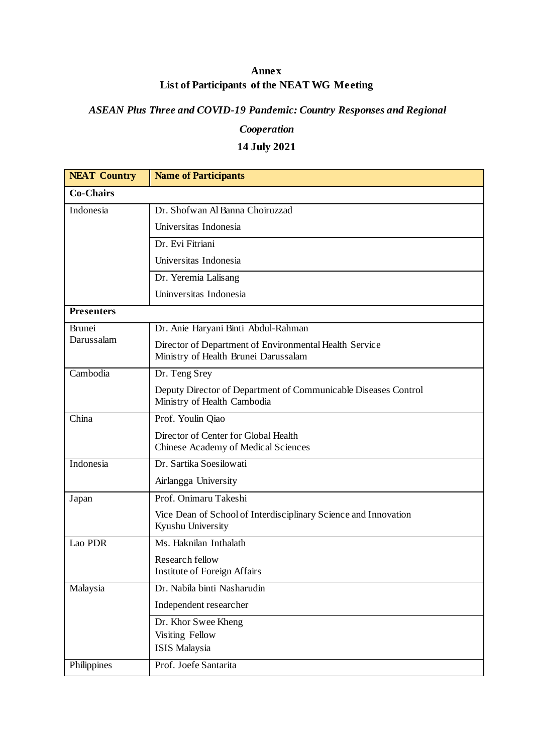## **Annex List of Participants of the NEAT WG Meeting**

## *ASEAN Plus Three and COVID-19 Pandemic: Country Responses and Regional*

## *Cooperation*

# **14 July 2021**

| <b>NEAT Country</b>         | <b>Name of Participants</b>                                                                    |  |
|-----------------------------|------------------------------------------------------------------------------------------------|--|
| Co-Chairs                   |                                                                                                |  |
| Indonesia                   | Dr. Shofwan Al Banna Choiruzzad                                                                |  |
|                             | Universitas Indonesia                                                                          |  |
|                             | Dr. Evi Fitriani                                                                               |  |
|                             | Universitas Indonesia                                                                          |  |
|                             | Dr. Yeremia Lalisang                                                                           |  |
|                             | Uninversitas Indonesia                                                                         |  |
| <b>Presenters</b>           |                                                                                                |  |
| <b>Brunei</b><br>Darussalam | Dr. Anie Haryani Binti Abdul-Rahman                                                            |  |
|                             | Director of Department of Environmental Health Service<br>Ministry of Health Brunei Darussalam |  |
| Cambodia                    | Dr. Teng Srey                                                                                  |  |
|                             | Deputy Director of Department of Communicable Diseases Control<br>Ministry of Health Cambodia  |  |
| China                       | Prof. Youlin Qiao                                                                              |  |
|                             | Director of Center for Global Health<br>Chinese Academy of Medical Sciences                    |  |
| Indonesia                   | Dr. Sartika Soesilowati                                                                        |  |
|                             | Airlangga University                                                                           |  |
| Japan                       | Prof. Onimaru Takeshi                                                                          |  |
|                             | Vice Dean of School of Interdisciplinary Science and Innovation<br>Kyushu University           |  |
| Lao PDR                     | Ms. Haknilan Inthalath                                                                         |  |
|                             | Research fellow<br><b>Institute of Foreign Affairs</b>                                         |  |
| Malaysia                    | Dr. Nabila binti Nasharudin                                                                    |  |
|                             | Independent researcher                                                                         |  |
|                             | Dr. Khor Swee Kheng<br>Visiting Fellow                                                         |  |
|                             | ISIS Malaysia                                                                                  |  |
| Philippines                 | Prof. Joefe Santarita                                                                          |  |